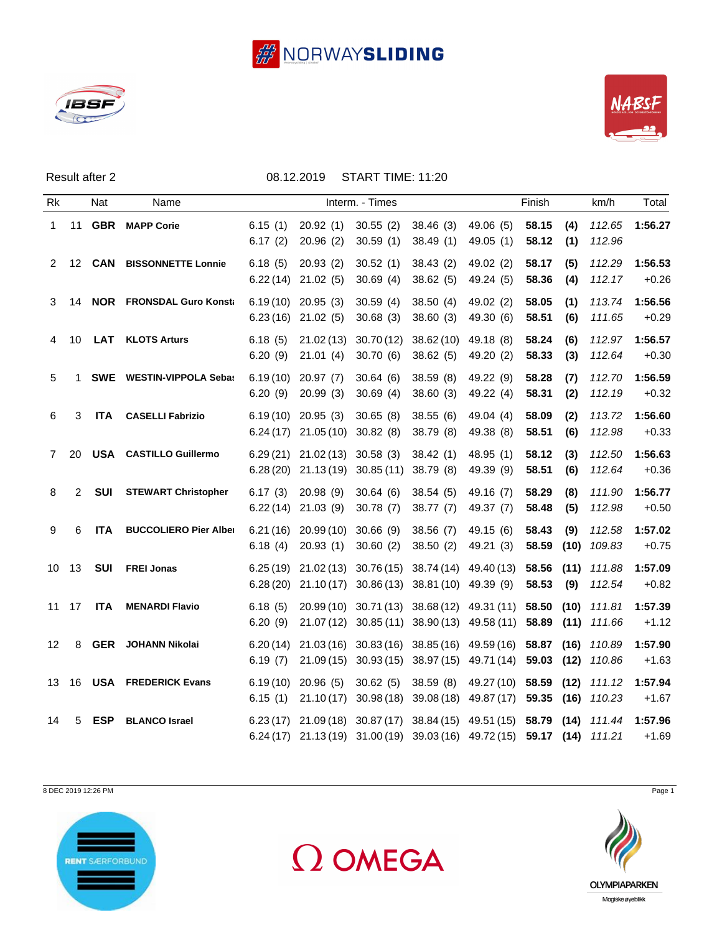





|                      |              | Result after 2 |                                 |                    | 08.12.2019                                                                     | START TIME: 11:20     |                                  |                                                                                                                                                    |                |             |                  |                    |
|----------------------|--------------|----------------|---------------------------------|--------------------|--------------------------------------------------------------------------------|-----------------------|----------------------------------|----------------------------------------------------------------------------------------------------------------------------------------------------|----------------|-------------|------------------|--------------------|
| Rk                   | Nat<br>Name  |                | Interm. - Times                 |                    |                                                                                |                       | Finish                           |                                                                                                                                                    |                | km/h        | Total            |                    |
| $\mathbf{1}$         |              |                | 11 GBR MAPP Corie               | 6.15(1)<br>6.17(2) | 20.92(1)<br>20.96(2)                                                           | 30.55(2)<br>30.59(1)  | 38.46(3)<br>38.49(1)             | 49.06 (5)<br>49.05(1)                                                                                                                              | 58.15<br>58.12 | (4)<br>(1)  | 112.65<br>112.96 | 1:56.27            |
| $\mathbf{2}^{\circ}$ |              | 12 <b>CAN</b>  | <b>BISSONNETTE Lonnie</b>       | 6.18(5)            | 20.93(2)<br>$6.22(14)$ 21.02 (5)                                               | 30.52(1)<br>30.69(4)  | 38.43(2)<br>38.62(5)             | 49.02 (2)<br>49.24 (5)                                                                                                                             | 58.17<br>58.36 | (5)<br>(4)  | 112.29<br>112.17 | 1:56.53<br>$+0.26$ |
| 3                    |              |                | 14 NOR FRONSDAL Guro Konsta     |                    | $6.19(10)$ 20.95 (3)<br>$6.23(16)$ 21.02 (5)                                   | 30.59(4)<br>30.68(3)  | 38.50(4)<br>38.60(3)             | 49.02 (2)<br>49.30 (6)                                                                                                                             | 58.05<br>58.51 | (1)<br>(6)  | 113.74<br>111.65 | 1:56.56<br>$+0.29$ |
| 4                    | 10           | LAT            | <b>KLOTS Arturs</b>             | 6.18(5)<br>6.20(9) | 21.02(13)<br>21.01(4)                                                          | 30.70(12)<br>30.70(6) | 38.62 (10) 49.18 (8)<br>38.62(5) | 49.20 (2)                                                                                                                                          | 58.24<br>58.33 | (6)<br>(3)  | 112.97<br>112.64 | 1:56.57<br>$+0.30$ |
| 5                    | $\mathbf{1}$ |                | <b>SWE</b> WESTIN-VIPPOLA Sebas | 6.20(9)            | $6.19(10)$ 20.97 (7)<br>20.99(3)                                               | 30.64(6)<br>30.69(4)  | 38.59(8)<br>38.60(3)             | 49.22 (9)<br>49.22 (4)                                                                                                                             | 58.28<br>58.31 | (7)<br>(2)  | 112.70<br>112.19 | 1:56.59<br>$+0.32$ |
| 6                    | 3            | <b>ITA</b>     | <b>CASELLI Fabrizio</b>         |                    | $6.19(10)$ 20.95 (3)<br>$6.24(17)$ 21.05 $(10)$ 30.82 $(8)$                    | 30.65(8)              | 38.55(6)<br>38.79 (8)            | 49.04 (4)<br>49.38 (8)                                                                                                                             | 58.09<br>58.51 | (2)<br>(6)  | 113.72<br>112.98 | 1:56.60<br>$+0.33$ |
| $\overline{7}$       | 20           |                | <b>USA CASTILLO Guillermo</b>   |                    | $6.29(21)$ $21.02(13)$ $30.58(3)$<br>6.28 (20) 21.13 (19) 30.85 (11) 38.79 (8) |                       | 38.42(1)                         | 48.95 (1)<br>49.39 (9)                                                                                                                             | 58.12<br>58.51 | (3)<br>(6)  | 112.50<br>112.64 | 1:56.63<br>$+0.36$ |
| 8                    | 2            | SUI            | <b>STEWART Christopher</b>      | 6.17(3)            | 20.98(9)<br>$6.22(14)$ 21.03 (9)                                               | 30.64(6)<br>30.78(7)  | 38.54(5)<br>38.77(7)             | 49.16 (7)<br>49.37 (7)                                                                                                                             | 58.29<br>58.48 | (8)<br>(5)  | 111.90<br>112.98 | 1:56.77<br>$+0.50$ |
| 9                    | 6            | <b>ITA</b>     | <b>BUCCOLIERO Pier Alber</b>    | 6.18(4)            | $6.21(16)$ 20.99(10)<br>20.93(1)                                               | 30.66(9)<br>30.60(2)  | 38.56(7)<br>38.50(2)             | 49.15 (6)<br>49.21 (3)                                                                                                                             | 58.43<br>58.59 | (9)<br>(10) | 112.58<br>109.83 | 1:57.02<br>$+0.75$ |
|                      | 10 13        | <b>SUI</b>     | <b>FREI Jonas</b>               |                    | $6.28(20)$ $21.10(17)$ $30.86(13)$ $38.81(10)$ $49.39(9)$                      |                       |                                  | 6.25 (19) 21.02 (13) 30.76 (15) 38.74 (14) 49.40 (13) 58.56 (11) 111.88                                                                            | 58.53          | (9)         | 112.54           | 1:57.09<br>$+0.82$ |
|                      | 11 17        | ITA            | <b>MENARDI Flavio</b>           | 6.18(5)<br>6.20(9) |                                                                                |                       |                                  | 20.99 (10) 30.71 (13) 38.68 (12) 49.31 (11) 58.50 (10) 111.81<br>21.07 (12) 30.85 (11) 38.90 (13) 49.58 (11) 58.89 (11) 111.66                     |                |             |                  | 1:57.39<br>$+1.12$ |
| 12 <sup>2</sup>      | 8            |                | <b>GER</b> JOHANN Nikolai       | 6.19(7)            |                                                                                |                       |                                  | 6.20(14) 21.03(16) 30.83(16) 38.85(16) 49.59(16) 58.87 (16) 110.89<br>21.09 (15) 30.93 (15) 38.97 (15) 49.71 (14) 59.03 (12) 110.86                |                |             |                  | 1:57.90<br>$+1.63$ |
|                      |              |                | 13 16 USA FREDERICK Evans       | 6.15(1)            | $6.19(10)$ 20.96 (5)                                                           | 30.62(5)              |                                  | 38.59 (8) 49.27 (10) 58.59 (12) 111.12<br>21.10 (17) 30.98 (18) 39.08 (18) 49.87 (17) 59.35 (16) 110.23                                            |                |             |                  | 1:57.94<br>$+1.67$ |
| 14                   | 5            | <b>ESP</b>     | <b>BLANCO Israel</b>            |                    |                                                                                |                       |                                  | 6.23 (17) 21.09 (18) 30.87 (17) 38.84 (15) 49.51 (15) 58.79 (14) 111.44<br>6.24 (17) 21.13 (19) 31.00 (19) 39.03 (16) 49.72 (15) 59.17 (14) 111.21 |                |             |                  | 1:57.96<br>$+1.69$ |

8 DEC 2019 12:26 PM Page 1







Magiske øyeblikk